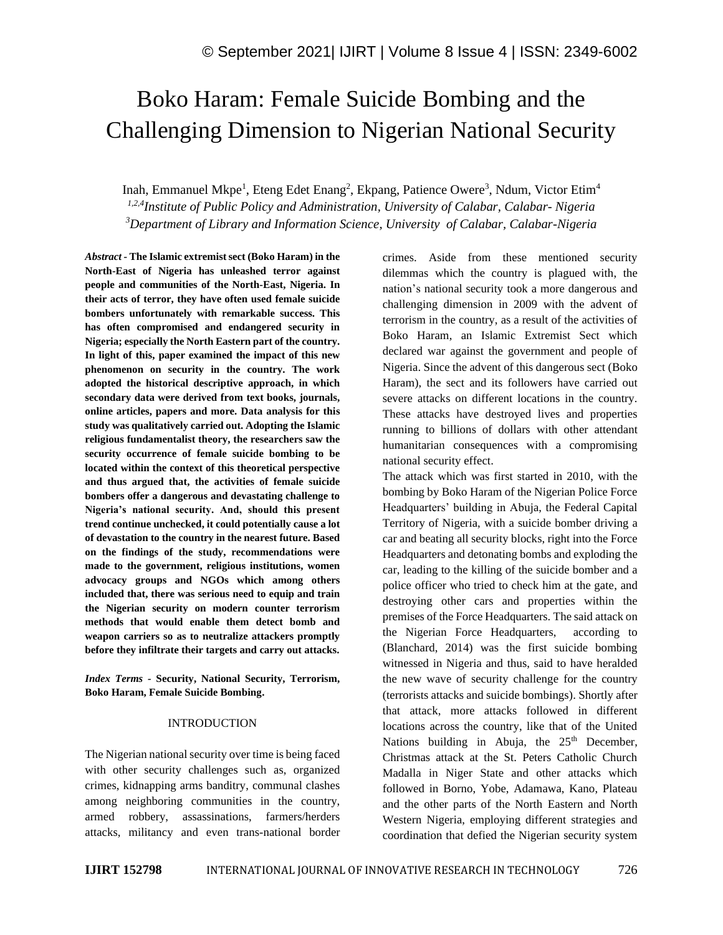# Boko Haram: Female Suicide Bombing and the Challenging Dimension to Nigerian National Security

Inah, Emmanuel Mkpe<sup>1</sup>, Eteng Edet Enang<sup>2</sup>, Ekpang, Patience Owere<sup>3</sup>, Ndum, Victor Etim<sup>4</sup> *1,2,4 Institute of Public Policy and Administration, University of Calabar, Calabar- Nigeria <sup>3</sup>Department of Library and Information Science, University of Calabar, Calabar-Nigeria*

*Abstract -* **The Islamic extremist sect (Boko Haram) in the North-East of Nigeria has unleashed terror against people and communities of the North-East, Nigeria. In their acts of terror, they have often used female suicide bombers unfortunately with remarkable success. This has often compromised and endangered security in Nigeria; especially the North Eastern part of the country. In light of this, paper examined the impact of this new phenomenon on security in the country. The work adopted the historical descriptive approach, in which secondary data were derived from text books, journals, online articles, papers and more. Data analysis for this study was qualitatively carried out. Adopting the Islamic religious fundamentalist theory, the researchers saw the security occurrence of female suicide bombing to be located within the context of this theoretical perspective and thus argued that, the activities of female suicide bombers offer a dangerous and devastating challenge to Nigeria's national security. And, should this present trend continue unchecked, it could potentially cause a lot of devastation to the country in the nearest future. Based on the findings of the study, recommendations were made to the government, religious institutions, women advocacy groups and NGOs which among others included that, there was serious need to equip and train the Nigerian security on modern counter terrorism methods that would enable them detect bomb and weapon carriers so as to neutralize attackers promptly before they infiltrate their targets and carry out attacks.**

*Index Terms -* **Security, National Security, Terrorism, Boko Haram, Female Suicide Bombing.**

#### INTRODUCTION

The Nigerian national security over time is being faced with other security challenges such as, organized crimes, kidnapping arms banditry, communal clashes among neighboring communities in the country, armed robbery, assassinations, farmers/herders attacks, militancy and even trans-national border crimes. Aside from these mentioned security dilemmas which the country is plagued with, the nation's national security took a more dangerous and challenging dimension in 2009 with the advent of terrorism in the country, as a result of the activities of Boko Haram, an Islamic Extremist Sect which declared war against the government and people of Nigeria. Since the advent of this dangerous sect (Boko Haram), the sect and its followers have carried out severe attacks on different locations in the country. These attacks have destroyed lives and properties running to billions of dollars with other attendant humanitarian consequences with a compromising national security effect.

The attack which was first started in 2010, with the bombing by Boko Haram of the Nigerian Police Force Headquarters' building in Abuja, the Federal Capital Territory of Nigeria, with a suicide bomber driving a car and beating all security blocks, right into the Force Headquarters and detonating bombs and exploding the car, leading to the killing of the suicide bomber and a police officer who tried to check him at the gate, and destroying other cars and properties within the premises of the Force Headquarters. The said attack on the Nigerian Force Headquarters, according to (Blanchard, 2014) was the first suicide bombing witnessed in Nigeria and thus, said to have heralded the new wave of security challenge for the country (terrorists attacks and suicide bombings). Shortly after that attack, more attacks followed in different locations across the country, like that of the United Nations building in Abuja, the  $25<sup>th</sup>$  December, Christmas attack at the St. Peters Catholic Church Madalla in Niger State and other attacks which followed in Borno, Yobe, Adamawa, Kano, Plateau and the other parts of the North Eastern and North Western Nigeria, employing different strategies and coordination that defied the Nigerian security system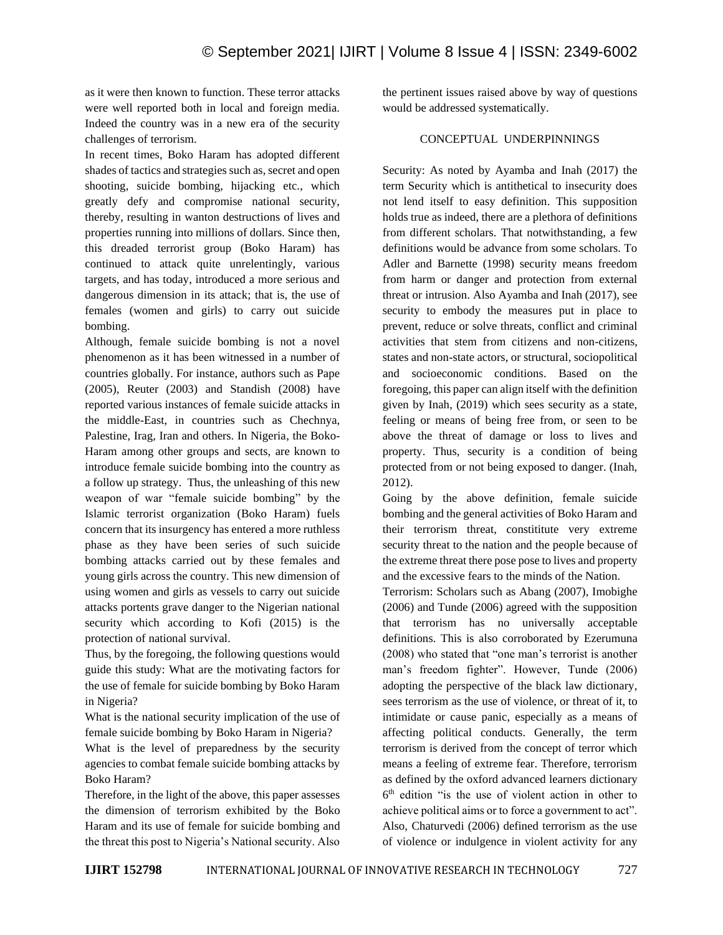as it were then known to function. These terror attacks were well reported both in local and foreign media. Indeed the country was in a new era of the security challenges of terrorism.

In recent times, Boko Haram has adopted different shades of tactics and strategies such as, secret and open shooting, suicide bombing, hijacking etc., which greatly defy and compromise national security, thereby, resulting in wanton destructions of lives and properties running into millions of dollars. Since then, this dreaded terrorist group (Boko Haram) has continued to attack quite unrelentingly, various targets, and has today, introduced a more serious and dangerous dimension in its attack; that is, the use of females (women and girls) to carry out suicide bombing.

Although, female suicide bombing is not a novel phenomenon as it has been witnessed in a number of countries globally. For instance, authors such as Pape (2005), Reuter (2003) and Standish (2008) have reported various instances of female suicide attacks in the middle-East, in countries such as Chechnya, Palestine, Irag, Iran and others. In Nigeria, the Boko-Haram among other groups and sects, are known to introduce female suicide bombing into the country as a follow up strategy. Thus, the unleashing of this new weapon of war "female suicide bombing" by the Islamic terrorist organization (Boko Haram) fuels concern that its insurgency has entered a more ruthless phase as they have been series of such suicide bombing attacks carried out by these females and young girls across the country. This new dimension of using women and girls as vessels to carry out suicide attacks portents grave danger to the Nigerian national security which according to Kofi (2015) is the protection of national survival.

Thus, by the foregoing, the following questions would guide this study: What are the motivating factors for the use of female for suicide bombing by Boko Haram in Nigeria?

What is the national security implication of the use of female suicide bombing by Boko Haram in Nigeria?

What is the level of preparedness by the security agencies to combat female suicide bombing attacks by Boko Haram?

Therefore, in the light of the above, this paper assesses the dimension of terrorism exhibited by the Boko Haram and its use of female for suicide bombing and the threat this post to Nigeria's National security. Also the pertinent issues raised above by way of questions would be addressed systematically.

## CONCEPTUAL UNDERPINNINGS

Security: As noted by Ayamba and Inah (2017) the term Security which is antithetical to insecurity does not lend itself to easy definition. This supposition holds true as indeed, there are a plethora of definitions from different scholars. That notwithstanding, a few definitions would be advance from some scholars. To Adler and Barnette (1998) security means freedom from harm or danger and protection from external threat or intrusion. Also Ayamba and Inah (2017), see security to embody the measures put in place to prevent, reduce or solve threats, conflict and criminal activities that stem from citizens and non-citizens, states and non-state actors, or structural, sociopolitical and socioeconomic conditions. Based on the foregoing, this paper can align itself with the definition given by Inah, (2019) which sees security as a state, feeling or means of being free from, or seen to be above the threat of damage or loss to lives and property. Thus, security is a condition of being protected from or not being exposed to danger. (Inah, 2012).

Going by the above definition, female suicide bombing and the general activities of Boko Haram and their terrorism threat, constititute very extreme security threat to the nation and the people because of the extreme threat there pose pose to lives and property and the excessive fears to the minds of the Nation.

Terrorism: Scholars such as Abang (2007), Imobighe (2006) and Tunde (2006) agreed with the supposition that terrorism has no universally acceptable definitions. This is also corroborated by Ezerumuna (2008) who stated that "one man's terrorist is another man's freedom fighter". However, Tunde (2006) adopting the perspective of the black law dictionary, sees terrorism as the use of violence, or threat of it, to intimidate or cause panic, especially as a means of affecting political conducts. Generally, the term terrorism is derived from the concept of terror which means a feeling of extreme fear. Therefore, terrorism as defined by the oxford advanced learners dictionary 6 th edition "is the use of violent action in other to achieve political aims or to force a government to act". Also, Chaturvedi (2006) defined terrorism as the use of violence or indulgence in violent activity for any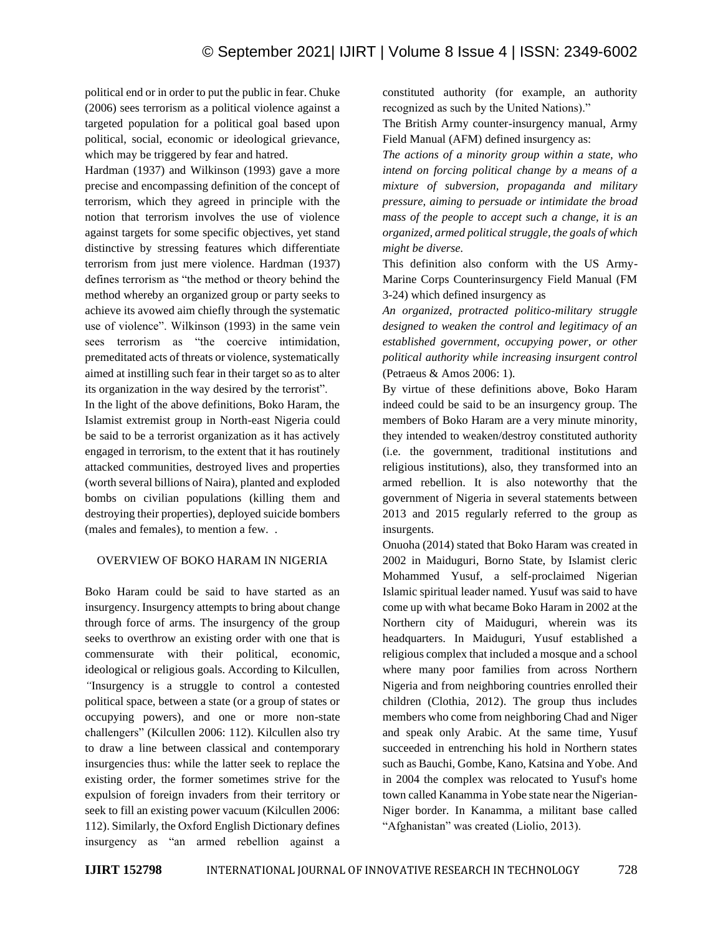political end or in order to put the public in fear. Chuke (2006) sees terrorism as a political violence against a targeted population for a political goal based upon political, social, economic or ideological grievance, which may be triggered by fear and hatred.

Hardman (1937) and Wilkinson (1993) gave a more precise and encompassing definition of the concept of terrorism, which they agreed in principle with the notion that terrorism involves the use of violence against targets for some specific objectives, yet stand distinctive by stressing features which differentiate terrorism from just mere violence. Hardman (1937) defines terrorism as "the method or theory behind the method whereby an organized group or party seeks to achieve its avowed aim chiefly through the systematic use of violence". Wilkinson (1993) in the same vein sees terrorism as "the coercive intimidation, premeditated acts of threats or violence, systematically aimed at instilling such fear in their target so as to alter its organization in the way desired by the terrorist".

In the light of the above definitions, Boko Haram, the Islamist extremist group in North-east Nigeria could be said to be a terrorist organization as it has actively engaged in terrorism, to the extent that it has routinely attacked communities, destroyed lives and properties (worth several billions of Naira), planted and exploded bombs on civilian populations (killing them and destroying their properties), deployed suicide bombers (males and females), to mention a few. .

## OVERVIEW OF BOKO HARAM IN NIGERIA

Boko Haram could be said to have started as an insurgency. Insurgency attempts to bring about change through force of arms. The insurgency of the group seeks to overthrow an existing order with one that is commensurate with their political, economic, ideological or religious goals. According to Kilcullen, *"*Insurgency is a struggle to control a contested political space, between a state (or a group of states or occupying powers), and one or more non-state challengers" (Kilcullen 2006: 112). Kilcullen also try to draw a line between classical and contemporary insurgencies thus: while the latter seek to replace the existing order, the former sometimes strive for the expulsion of foreign invaders from their territory or seek to fill an existing power vacuum (Kilcullen 2006: 112). Similarly, the Oxford English Dictionary defines insurgency as "an armed rebellion against a constituted authority (for example, an authority recognized as such by the United Nations)."

The British Army counter-insurgency manual, Army Field Manual (AFM) defined insurgency as:

*The actions of a minority group within a state, who intend on forcing political change by a means of a mixture of subversion, propaganda and military pressure, aiming to persuade or intimidate the broad mass of the people to accept such a change, it is an organized, armed political struggle, the goals of which might be diverse.*

This definition also conform with the US Army-Marine Corps Counterinsurgency Field Manual (FM 3-24) which defined insurgency as

*An organized, protracted politico-military struggle designed to weaken the control and legitimacy of an established government, occupying power, or other political authority while increasing insurgent control*  (Petraeus & Amos 2006: 1).

By virtue of these definitions above, Boko Haram indeed could be said to be an insurgency group. The members of Boko Haram are a very minute minority, they intended to weaken/destroy constituted authority (i.e. the government, traditional institutions and religious institutions), also, they transformed into an armed rebellion. It is also noteworthy that the government of Nigeria in several statements between 2013 and 2015 regularly referred to the group as insurgents.

Onuoha (2014) stated that Boko Haram was created in 2002 in Maiduguri, Borno State, by Islamist cleric Mohammed Yusuf, a self-proclaimed Nigerian Islamic spiritual leader named. Yusuf was said to have come up with what became Boko Haram in 2002 at the Northern city of Maiduguri, wherein was its headquarters. In Maiduguri, Yusuf established a religious complex that included a mosque and a school where many poor families from across Northern Nigeria and from neighboring countries enrolled their children (Clothia, 2012). The group thus includes members who come from neighboring Chad and Niger and speak only Arabic. At the same time, Yusuf succeeded in entrenching his hold in Northern states such as Bauchi, Gombe, Kano, Katsina and Yobe. And in 2004 the complex was relocated to Yusuf's home town called Kanamma in Yobe state near the Nigerian-Niger border. In Kanamma, a militant base called "Afghanistan" was created (Liolio, 2013).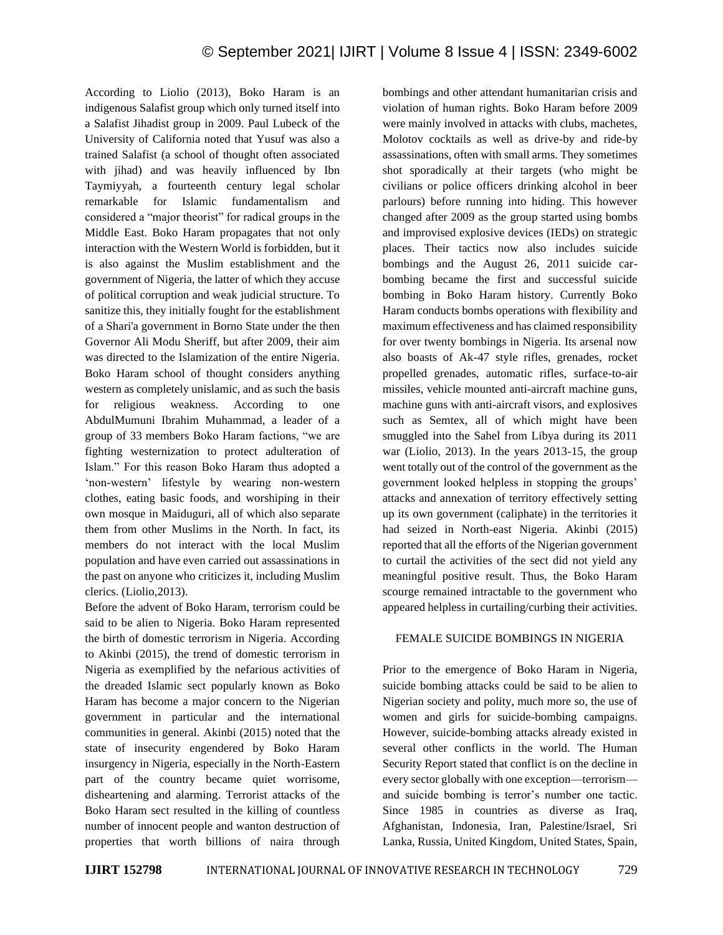According to Liolio (2013), Boko Haram is an indigenous Salafist group which only turned itself into a Salafist Jihadist group in 2009. Paul Lubeck of the University of California noted that Yusuf was also a trained Salafist (a school of thought often associated with jihad) and was heavily influenced by Ibn Taymiyyah, a fourteenth century legal scholar remarkable for Islamic fundamentalism and considered a "major theorist" for radical groups in the Middle East. Boko Haram propagates that not only interaction with the Western World is forbidden, but it is also against the Muslim establishment and the government of Nigeria, the latter of which they accuse of political corruption and weak judicial structure. To sanitize this, they initially fought for the establishment of a Shari'a government in Borno State under the then Governor Ali Modu Sheriff, but after 2009, their aim was directed to the Islamization of the entire Nigeria. Boko Haram school of thought considers anything western as completely unislamic, and as such the basis for religious weakness. According to one AbdulMumuni Ibrahim Muhammad, a leader of a group of 33 members Boko Haram factions, "we are fighting westernization to protect adulteration of Islam." For this reason Boko Haram thus adopted a 'non-western' lifestyle by wearing non-western clothes, eating basic foods, and worshiping in their own mosque in Maiduguri, all of which also separate them from other Muslims in the North. In fact, its members do not interact with the local Muslim population and have even carried out assassinations in the past on anyone who criticizes it, including Muslim clerics. (Liolio,2013).

Before the advent of Boko Haram, terrorism could be said to be alien to Nigeria. Boko Haram represented the birth of domestic terrorism in Nigeria. According to Akinbi (2015), the trend of domestic terrorism in Nigeria as exemplified by the nefarious activities of the dreaded Islamic sect popularly known as Boko Haram has become a major concern to the Nigerian government in particular and the international communities in general. Akinbi (2015) noted that the state of insecurity engendered by Boko Haram insurgency in Nigeria, especially in the North-Eastern part of the country became quiet worrisome, disheartening and alarming. Terrorist attacks of the Boko Haram sect resulted in the killing of countless number of innocent people and wanton destruction of properties that worth billions of naira through bombings and other attendant humanitarian crisis and violation of human rights. Boko Haram before 2009 were mainly involved in attacks with clubs, machetes, Molotov cocktails as well as drive-by and ride-by assassinations, often with small arms. They sometimes shot sporadically at their targets (who might be civilians or police officers drinking alcohol in beer parlours) before running into hiding. This however changed after 2009 as the group started using bombs and improvised explosive devices (IEDs) on strategic places. Their tactics now also includes suicide bombings and the August 26, 2011 suicide carbombing became the first and successful suicide bombing in Boko Haram history. Currently Boko Haram conducts bombs operations with flexibility and maximum effectiveness and has claimed responsibility for over twenty bombings in Nigeria. Its arsenal now also boasts of Ak-47 style rifles, grenades, rocket propelled grenades, automatic rifles, surface-to-air missiles, vehicle mounted anti-aircraft machine guns, machine guns with anti-aircraft visors, and explosives such as Semtex, all of which might have been smuggled into the Sahel from Libya during its 2011 war (Liolio, 2013). In the years 2013-15, the group went totally out of the control of the government as the government looked helpless in stopping the groups' attacks and annexation of territory effectively setting up its own government (caliphate) in the territories it had seized in North-east Nigeria. Akinbi (2015) reported that all the efforts of the Nigerian government to curtail the activities of the sect did not yield any meaningful positive result. Thus, the Boko Haram scourge remained intractable to the government who appeared helpless in curtailing/curbing their activities.

## FEMALE SUICIDE BOMBINGS IN NIGERIA

Prior to the emergence of Boko Haram in Nigeria, suicide bombing attacks could be said to be alien to Nigerian society and polity, much more so, the use of women and girls for suicide-bombing campaigns. However, suicide-bombing attacks already existed in several other conflicts in the world. The Human Security Report stated that conflict is on the decline in every sector globally with one exception—terrorism and suicide bombing is terror's number one tactic. Since 1985 in countries as diverse as Iraq, Afghanistan, Indonesia, Iran, Palestine/Israel, Sri Lanka, Russia, United Kingdom, United States, Spain,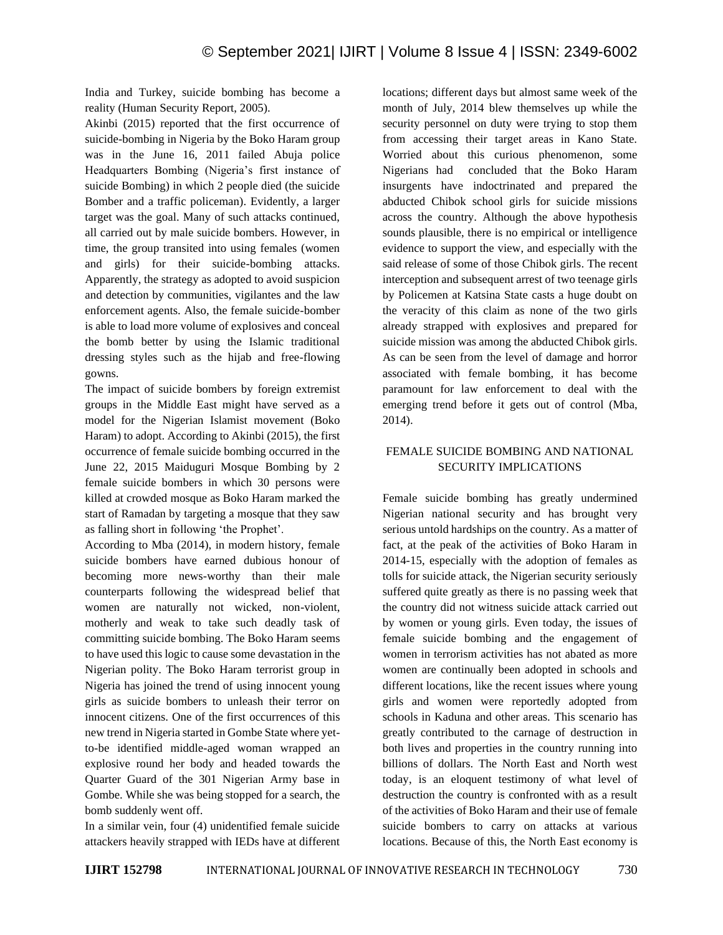India and Turkey, suicide bombing has become a reality (Human Security Report, 2005).

Akinbi (2015) reported that the first occurrence of suicide-bombing in Nigeria by the Boko Haram group was in the June 16, 2011 failed Abuja police Headquarters Bombing (Nigeria's first instance of suicide Bombing) in which 2 people died (the suicide Bomber and a traffic policeman). Evidently, a larger target was the goal. Many of such attacks continued, all carried out by male suicide bombers. However, in time, the group transited into using females (women and girls) for their suicide-bombing attacks. Apparently, the strategy as adopted to avoid suspicion and detection by communities, vigilantes and the law enforcement agents. Also, the female suicide-bomber is able to load more volume of explosives and conceal the bomb better by using the Islamic traditional dressing styles such as the hijab and free-flowing gowns.

The impact of suicide bombers by foreign extremist groups in the Middle East might have served as a model for the Nigerian Islamist movement (Boko Haram) to adopt. According to Akinbi (2015), the first occurrence of female suicide bombing occurred in the June 22, 2015 Maiduguri Mosque Bombing by 2 female suicide bombers in which 30 persons were killed at crowded mosque as Boko Haram marked the start of Ramadan by targeting a mosque that they saw as falling short in following 'the Prophet'.

According to Mba (2014), in modern history, female suicide bombers have earned dubious honour of becoming more news-worthy than their male counterparts following the widespread belief that women are naturally not wicked, non-violent, motherly and weak to take such deadly task of committing suicide bombing. The Boko Haram seems to have used this logic to cause some devastation in the Nigerian polity. The Boko Haram terrorist group in Nigeria has joined the trend of using innocent young girls as suicide bombers to unleash their terror on innocent citizens. One of the first occurrences of this new trend in Nigeria started in Gombe State where yetto-be identified middle-aged woman wrapped an explosive round her body and headed towards the Quarter Guard of the 301 Nigerian Army base in Gombe. While she was being stopped for a search, the bomb suddenly went off.

In a similar vein, four (4) unidentified female suicide attackers heavily strapped with IEDs have at different locations; different days but almost same week of the month of July, 2014 blew themselves up while the security personnel on duty were trying to stop them from accessing their target areas in Kano State. Worried about this curious phenomenon, some Nigerians had concluded that the Boko Haram insurgents have indoctrinated and prepared the abducted Chibok school girls for suicide missions across the country. Although the above hypothesis sounds plausible, there is no empirical or intelligence evidence to support the view, and especially with the said release of some of those Chibok girls. The recent interception and subsequent arrest of two teenage girls by Policemen at Katsina State casts a huge doubt on the veracity of this claim as none of the two girls already strapped with explosives and prepared for suicide mission was among the abducted Chibok girls. As can be seen from the level of damage and horror associated with female bombing, it has become paramount for law enforcement to deal with the emerging trend before it gets out of control (Mba, 2014).

# FEMALE SUICIDE BOMBING AND NATIONAL SECURITY IMPLICATIONS

Female suicide bombing has greatly undermined Nigerian national security and has brought very serious untold hardships on the country. As a matter of fact, at the peak of the activities of Boko Haram in 2014-15, especially with the adoption of females as tolls for suicide attack, the Nigerian security seriously suffered quite greatly as there is no passing week that the country did not witness suicide attack carried out by women or young girls. Even today, the issues of female suicide bombing and the engagement of women in terrorism activities has not abated as more women are continually been adopted in schools and different locations, like the recent issues where young girls and women were reportedly adopted from schools in Kaduna and other areas. This scenario has greatly contributed to the carnage of destruction in both lives and properties in the country running into billions of dollars. The North East and North west today, is an eloquent testimony of what level of destruction the country is confronted with as a result of the activities of Boko Haram and their use of female suicide bombers to carry on attacks at various locations. Because of this, the North East economy is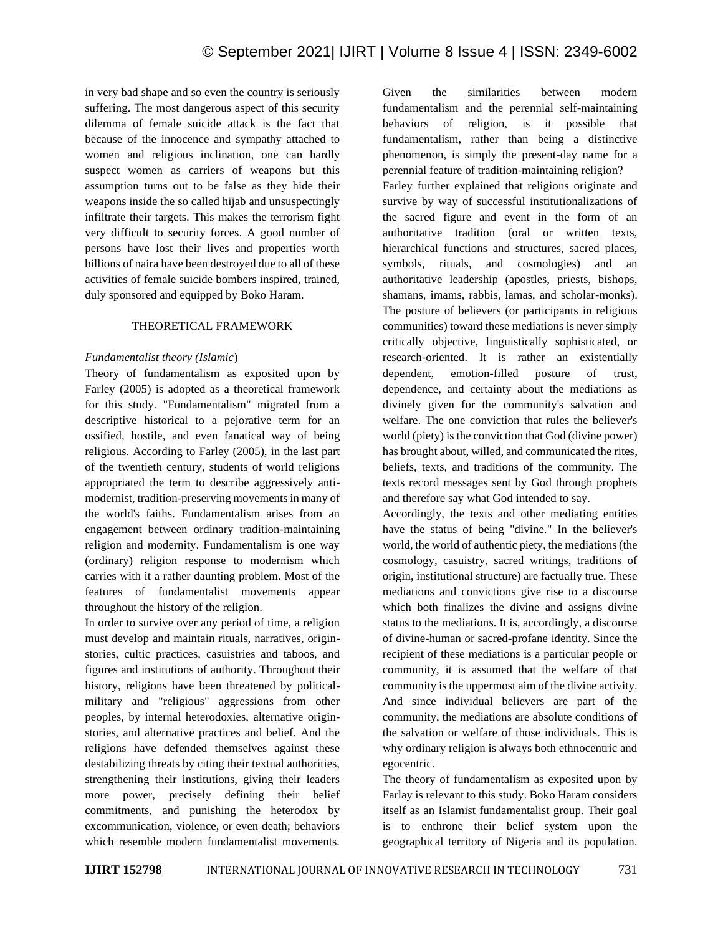in very bad shape and so even the country is seriously suffering. The most dangerous aspect of this security dilemma of female suicide attack is the fact that because of the innocence and sympathy attached to women and religious inclination, one can hardly suspect women as carriers of weapons but this assumption turns out to be false as they hide their weapons inside the so called hijab and unsuspectingly infiltrate their targets. This makes the terrorism fight very difficult to security forces. A good number of persons have lost their lives and properties worth billions of naira have been destroyed due to all of these activities of female suicide bombers inspired, trained, duly sponsored and equipped by Boko Haram.

## THEORETICAL FRAMEWORK

## *Fundamentalist theory (Islamic*)

Theory of fundamentalism as exposited upon by Farley (2005) is adopted as a theoretical framework for this study. "Fundamentalism" migrated from a descriptive historical to a pejorative term for an ossified, hostile, and even fanatical way of being religious. According to Farley (2005), in the last part of the twentieth century, students of world religions appropriated the term to describe aggressively antimodernist, tradition-preserving movements in many of the world's faiths. Fundamentalism arises from an engagement between ordinary tradition-maintaining religion and modernity. Fundamentalism is one way (ordinary) religion response to modernism which carries with it a rather daunting problem. Most of the features of fundamentalist movements appear throughout the history of the religion.

In order to survive over any period of time, a religion must develop and maintain rituals, narratives, originstories, cultic practices, casuistries and taboos, and figures and institutions of authority. Throughout their history, religions have been threatened by politicalmilitary and "religious" aggressions from other peoples, by internal heterodoxies, alternative originstories, and alternative practices and belief. And the religions have defended themselves against these destabilizing threats by citing their textual authorities, strengthening their institutions, giving their leaders more power, precisely defining their belief commitments, and punishing the heterodox by excommunication, violence, or even death; behaviors which resemble modern fundamentalist movements. Given the similarities between modern fundamentalism and the perennial self-maintaining behaviors of religion, is it possible that fundamentalism, rather than being a distinctive phenomenon, is simply the present-day name for a perennial feature of tradition-maintaining religion?

Farley further explained that religions originate and survive by way of successful institutionalizations of the sacred figure and event in the form of an authoritative tradition (oral or written texts, hierarchical functions and structures, sacred places, symbols, rituals, and cosmologies) and an authoritative leadership (apostles, priests, bishops, shamans, imams, rabbis, lamas, and scholar-monks). The posture of believers (or participants in religious communities) toward these mediations is never simply critically objective, linguistically sophisticated, or research-oriented. It is rather an existentially dependent, emotion-filled posture of trust, dependence, and certainty about the mediations as divinely given for the community's salvation and welfare. The one conviction that rules the believer's world (piety) is the conviction that God (divine power) has brought about, willed, and communicated the rites, beliefs, texts, and traditions of the community. The texts record messages sent by God through prophets and therefore say what God intended to say.

Accordingly, the texts and other mediating entities have the status of being "divine." In the believer's world, the world of authentic piety, the mediations (the cosmology, casuistry, sacred writings, traditions of origin, institutional structure) are factually true. These mediations and convictions give rise to a discourse which both finalizes the divine and assigns divine status to the mediations. It is, accordingly, a discourse of divine-human or sacred-profane identity. Since the recipient of these mediations is a particular people or community, it is assumed that the welfare of that community is the uppermost aim of the divine activity. And since individual believers are part of the community, the mediations are absolute conditions of the salvation or welfare of those individuals. This is why ordinary religion is always both ethnocentric and egocentric.

The theory of fundamentalism as exposited upon by Farlay is relevant to this study. Boko Haram considers itself as an Islamist fundamentalist group. Their goal is to enthrone their belief system upon the geographical territory of Nigeria and its population.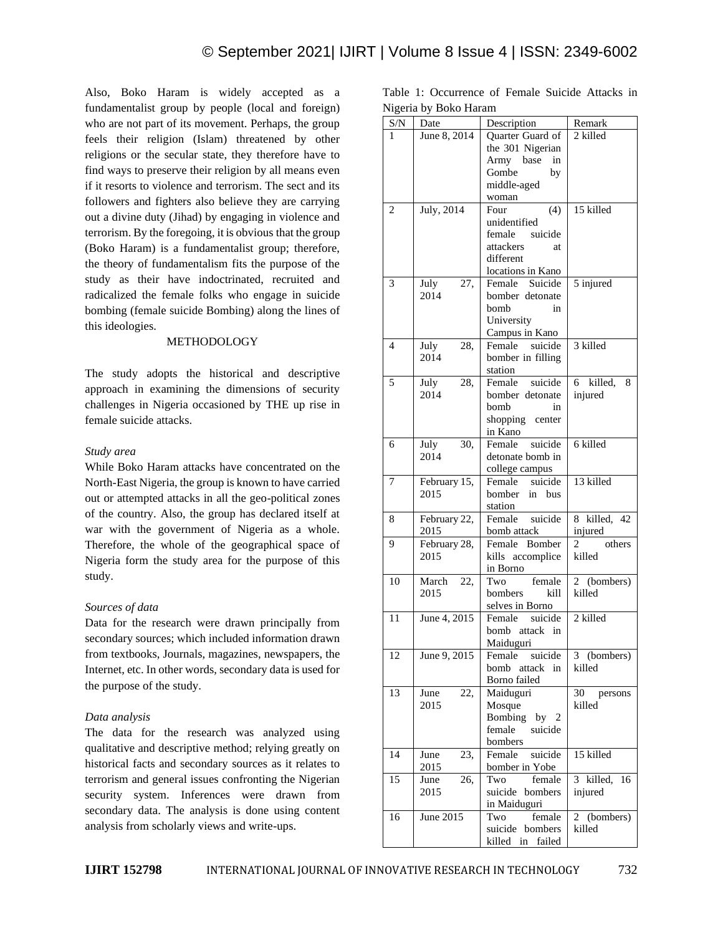Also, Boko Haram is widely accepted as a fundamentalist group by people (local and foreign) who are not part of its movement. Perhaps, the group feels their religion (Islam) threatened by other religions or the secular state, they therefore have to find ways to preserve their religion by all means even if it resorts to violence and terrorism. The sect and its followers and fighters also believe they are carrying out a divine duty (Jihad) by engaging in violence and terrorism. By the foregoing, it is obvious that the group (Boko Haram) is a fundamentalist group; therefore, the theory of fundamentalism fits the purpose of the study as their have indoctrinated, recruited and radicalized the female folks who engage in suicide bombing (female suicide Bombing) along the lines of this ideologies.

#### METHODOLOGY

The study adopts the historical and descriptive approach in examining the dimensions of security challenges in Nigeria occasioned by THE up rise in female suicide attacks.

#### *Study area*

While Boko Haram attacks have concentrated on the North-East Nigeria, the group is known to have carried out or attempted attacks in all the geo-political zones of the country. Also, the group has declared itself at war with the government of Nigeria as a whole. Therefore, the whole of the geographical space of Nigeria form the study area for the purpose of this study.

## *Sources of data*

Data for the research were drawn principally from secondary sources; which included information drawn from textbooks, Journals, magazines, newspapers, the Internet, etc. In other words, secondary data is used for the purpose of the study.

## *Data analysis*

The data for the research was analyzed using qualitative and descriptive method; relying greatly on historical facts and secondary sources as it relates to terrorism and general issues confronting the Nigerian security system. Inferences were drawn from secondary data. The analysis is done using content analysis from scholarly views and write-ups.

|  | Table 1: Occurrence of Female Suicide Attacks in |  |  |  |
|--|--------------------------------------------------|--|--|--|
|  | Nigeria by Boko Haram                            |  |  |  |

|                | Tyrgeria by Doko Haraill |                                 |                |
|----------------|--------------------------|---------------------------------|----------------|
| S/N            | Date                     | Description                     | Remark         |
| 1              | June 8, 2014             | Quarter Guard of                | 2 killed       |
|                |                          | the 301 Nigerian                |                |
|                |                          | Army base<br>in                 |                |
|                |                          | Gombe<br>by                     |                |
|                |                          | middle-aged                     |                |
|                |                          | woman                           |                |
| $\overline{c}$ | July, 2014               | (4)<br>Four                     | 15 killed      |
|                |                          | unidentified                    |                |
|                |                          | female suicide                  |                |
|                |                          | attackers<br>at                 |                |
|                |                          | different                       |                |
|                |                          | locations in Kano               |                |
| 3              | July<br>27,              | Suicide<br>Female               | 5 injured      |
|                | 2014                     | bomber detonate                 |                |
|                |                          | bomb<br>in                      |                |
|                |                          | University                      |                |
|                |                          | Campus in Kano                  |                |
| 4              | July<br>28,              | Female<br>suicide               | 3 killed       |
|                | 2014                     | bomber in filling               |                |
| 5              | 28,                      | station<br>suicide<br>Female    | 6 killed,      |
|                | July<br>2014             | bomber detonate                 | 8<br>injured   |
|                |                          | bomb<br>in                      |                |
|                |                          | shopping center                 |                |
|                |                          | in Kano                         |                |
| 6              | 30,<br>July              | Female<br>suicide               | 6 killed       |
|                | 2014                     | detonate bomb in                |                |
|                |                          | college campus                  |                |
| 7              | February 15,             | Female suicide                  | 13 killed      |
|                | 2015                     | bomber<br>in bus                |                |
|                |                          | station                         |                |
| 8              | February 22,             | suicide<br>Female               | 8 killed, 42   |
|                | 2015                     | bomb attack                     | injured        |
| 9              | February 28,             | Female Bomber                   | others<br>2    |
|                | 2015                     | kills accomplice                | killed         |
|                |                          | in Borno                        |                |
| 10             | March<br>22,             | Two<br>female                   | (bombers)<br>2 |
|                | 2015                     | bombers<br>kill                 | killed         |
|                |                          | selves in Borno                 |                |
| 11             | June 4, 2015             | Female<br>suicide               | 2 killed       |
|                |                          | bomb attack in                  |                |
|                |                          | Maiduguri                       |                |
| 12             | June 9, 2015             | Female<br>suicide               | 3 (bombers)    |
|                |                          | bomb attack in                  | killed         |
|                |                          | Borno failed                    |                |
| 13             | June<br>22,              | Maiduguri                       | 30 persons     |
|                | 2015                     | Mosque                          | killed         |
|                |                          | Bombing by 2                    |                |
|                |                          | female<br>suicide               |                |
|                |                          | bombers<br>suicide<br>Female    |                |
| 14             | June<br>23,<br>2015      |                                 | 15 killed      |
| 15             | 26,<br>June              | bomber in Yobe<br>Two<br>female | 3 killed, 16   |
|                | 2015                     | suicide bombers                 | injured        |
|                |                          | in Maiduguri                    |                |
| 16             | June 2015                | Two<br>female                   | 2 (bombers)    |
|                |                          | suicide bombers                 | killed         |
|                |                          | failed<br>killed in             |                |
|                |                          |                                 |                |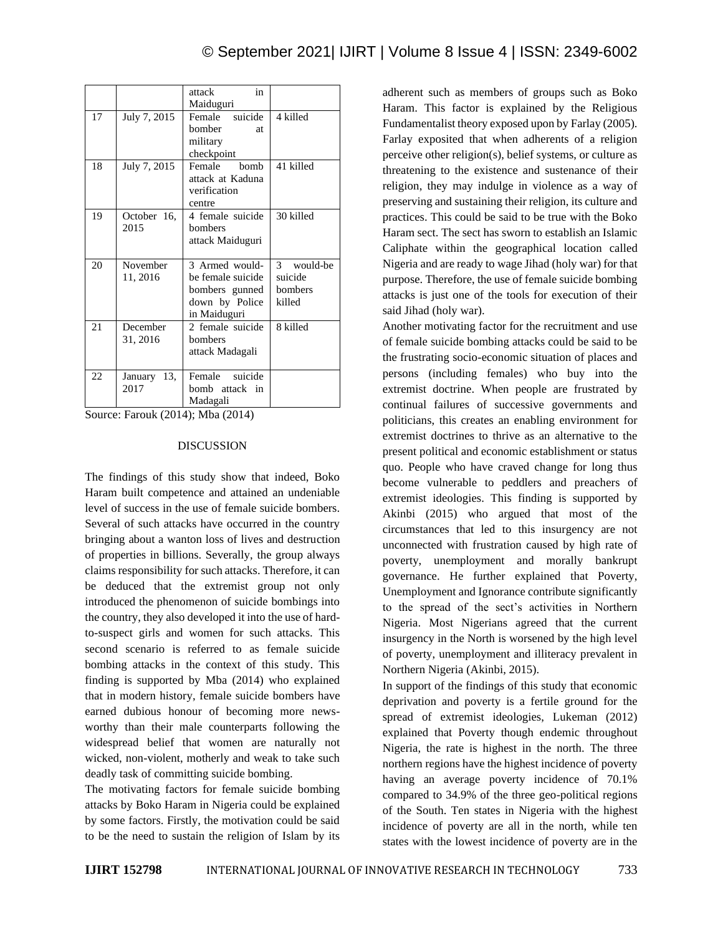|     |                | in<br>attack         |                           |
|-----|----------------|----------------------|---------------------------|
|     |                | Maiduguri            |                           |
| 17  | July 7, 2015   | suicide<br>Female    | 4 killed                  |
|     |                | <b>bomber</b><br>at. |                           |
|     |                | military             |                           |
|     |                | checkpoint           |                           |
| 18  | July 7, 2015   | Female<br>bomb       | 41 killed                 |
|     |                | attack at Kaduna     |                           |
|     |                | verification         |                           |
|     |                | centre               |                           |
| 19  | October 16,    | 4 female suicide     | 30 killed                 |
|     | 2015           | hombers              |                           |
|     |                | attack Maiduguri     |                           |
|     |                |                      |                           |
| 20  | November       | 3 Armed would-       | $\mathcal{E}$<br>would-be |
|     | 11, 2016       | be female suicide    | suicide                   |
|     |                | bombers gunned       | bombers                   |
|     |                | down by Police       | killed                    |
|     |                | in Maiduguri         |                           |
| 2.1 | December       | 2 female suicide     | 8 killed                  |
|     | 31, 2016       | bombers              |                           |
|     |                | attack Madagali      |                           |
|     |                |                      |                           |
| 22  | 13,<br>January | suicide<br>Female    |                           |
|     | 2017           | bomb attack in       |                           |
|     |                | Madagali             |                           |

Source: Farouk (2014); Mba (2014)

#### DISCUSSION

The findings of this study show that indeed, Boko Haram built competence and attained an undeniable level of success in the use of female suicide bombers. Several of such attacks have occurred in the country bringing about a wanton loss of lives and destruction of properties in billions. Severally, the group always claims responsibility for such attacks. Therefore, it can be deduced that the extremist group not only introduced the phenomenon of suicide bombings into the country, they also developed it into the use of hardto-suspect girls and women for such attacks. This second scenario is referred to as female suicide bombing attacks in the context of this study. This finding is supported by Mba (2014) who explained that in modern history, female suicide bombers have earned dubious honour of becoming more newsworthy than their male counterparts following the widespread belief that women are naturally not wicked, non-violent, motherly and weak to take such deadly task of committing suicide bombing.

The motivating factors for female suicide bombing attacks by Boko Haram in Nigeria could be explained by some factors. Firstly, the motivation could be said to be the need to sustain the religion of Islam by its adherent such as members of groups such as Boko Haram. This factor is explained by the Religious Fundamentalist theory exposed upon by Farlay (2005). Farlay exposited that when adherents of a religion perceive other religion(s), belief systems, or culture as threatening to the existence and sustenance of their religion, they may indulge in violence as a way of preserving and sustaining their religion, its culture and practices. This could be said to be true with the Boko Haram sect. The sect has sworn to establish an Islamic Caliphate within the geographical location called Nigeria and are ready to wage Jihad (holy war) for that purpose. Therefore, the use of female suicide bombing attacks is just one of the tools for execution of their said Jihad (holy war).

Another motivating factor for the recruitment and use of female suicide bombing attacks could be said to be the frustrating socio-economic situation of places and persons (including females) who buy into the extremist doctrine. When people are frustrated by continual failures of successive governments and politicians, this creates an enabling environment for extremist doctrines to thrive as an alternative to the present political and economic establishment or status quo. People who have craved change for long thus become vulnerable to peddlers and preachers of extremist ideologies. This finding is supported by Akinbi (2015) who argued that most of the circumstances that led to this insurgency are not unconnected with frustration caused by high rate of poverty, unemployment and morally bankrupt governance. He further explained that Poverty, Unemployment and Ignorance contribute significantly to the spread of the sect's activities in Northern Nigeria. Most Nigerians agreed that the current insurgency in the North is worsened by the high level of poverty, unemployment and illiteracy prevalent in Northern Nigeria (Akinbi, 2015).

In support of the findings of this study that economic deprivation and poverty is a fertile ground for the spread of extremist ideologies, Lukeman (2012) explained that Poverty though endemic throughout Nigeria, the rate is highest in the north. The three northern regions have the highest incidence of poverty having an average poverty incidence of 70.1% compared to 34.9% of the three geo-political regions of the South. Ten states in Nigeria with the highest incidence of poverty are all in the north, while ten states with the lowest incidence of poverty are in the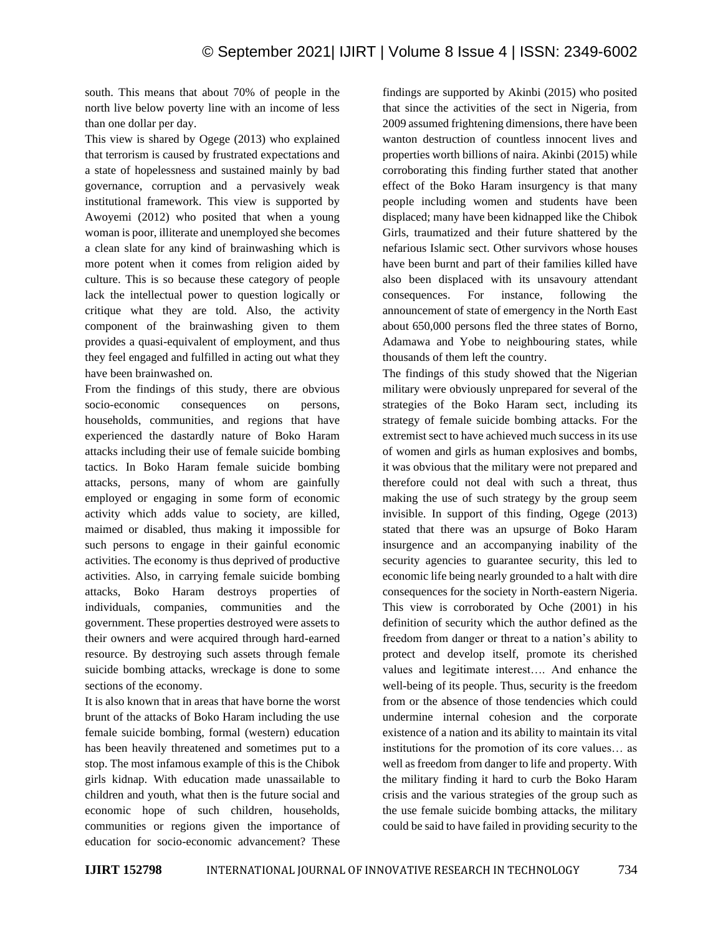south. This means that about 70% of people in the north live below poverty line with an income of less than one dollar per day.

This view is shared by Ogege (2013) who explained that terrorism is caused by frustrated expectations and a state of hopelessness and sustained mainly by bad governance, corruption and a pervasively weak institutional framework. This view is supported by Awoyemi (2012) who posited that when a young woman is poor, illiterate and unemployed she becomes a clean slate for any kind of brainwashing which is more potent when it comes from religion aided by culture. This is so because these category of people lack the intellectual power to question logically or critique what they are told. Also, the activity component of the brainwashing given to them provides a quasi-equivalent of employment, and thus they feel engaged and fulfilled in acting out what they have been brainwashed on.

From the findings of this study, there are obvious socio-economic consequences on persons, households, communities, and regions that have experienced the dastardly nature of Boko Haram attacks including their use of female suicide bombing tactics. In Boko Haram female suicide bombing attacks, persons, many of whom are gainfully employed or engaging in some form of economic activity which adds value to society, are killed, maimed or disabled, thus making it impossible for such persons to engage in their gainful economic activities. The economy is thus deprived of productive activities. Also, in carrying female suicide bombing attacks, Boko Haram destroys properties of individuals, companies, communities and the government. These properties destroyed were assets to their owners and were acquired through hard-earned resource. By destroying such assets through female suicide bombing attacks, wreckage is done to some sections of the economy.

It is also known that in areas that have borne the worst brunt of the attacks of Boko Haram including the use female suicide bombing, formal (western) education has been heavily threatened and sometimes put to a stop. The most infamous example of this is the Chibok girls kidnap. With education made unassailable to children and youth, what then is the future social and economic hope of such children, households, communities or regions given the importance of education for socio-economic advancement? These findings are supported by Akinbi (2015) who posited that since the activities of the sect in Nigeria, from 2009 assumed frightening dimensions, there have been wanton destruction of countless innocent lives and properties worth billions of naira. Akinbi (2015) while corroborating this finding further stated that another effect of the Boko Haram insurgency is that many people including women and students have been displaced; many have been kidnapped like the Chibok Girls, traumatized and their future shattered by the nefarious Islamic sect. Other survivors whose houses have been burnt and part of their families killed have also been displaced with its unsavoury attendant consequences. For instance, following the announcement of state of emergency in the North East about 650,000 persons fled the three states of Borno, Adamawa and Yobe to neighbouring states, while thousands of them left the country.

The findings of this study showed that the Nigerian military were obviously unprepared for several of the strategies of the Boko Haram sect, including its strategy of female suicide bombing attacks. For the extremist sect to have achieved much success in its use of women and girls as human explosives and bombs, it was obvious that the military were not prepared and therefore could not deal with such a threat, thus making the use of such strategy by the group seem invisible. In support of this finding, Ogege (2013) stated that there was an upsurge of Boko Haram insurgence and an accompanying inability of the security agencies to guarantee security, this led to economic life being nearly grounded to a halt with dire consequences for the society in North-eastern Nigeria. This view is corroborated by Oche (2001) in his definition of security which the author defined as the freedom from danger or threat to a nation's ability to protect and develop itself, promote its cherished values and legitimate interest…. And enhance the well-being of its people. Thus, security is the freedom from or the absence of those tendencies which could undermine internal cohesion and the corporate existence of a nation and its ability to maintain its vital institutions for the promotion of its core values… as well as freedom from danger to life and property. With the military finding it hard to curb the Boko Haram crisis and the various strategies of the group such as the use female suicide bombing attacks, the military could be said to have failed in providing security to the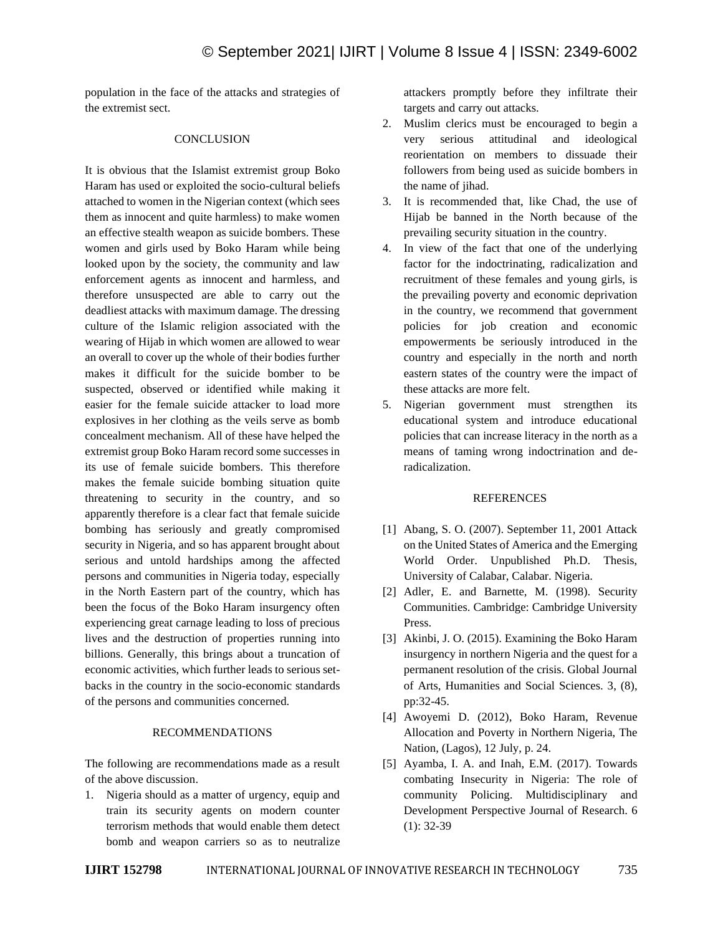population in the face of the attacks and strategies of the extremist sect.

## **CONCLUSION**

It is obvious that the Islamist extremist group Boko Haram has used or exploited the socio-cultural beliefs attached to women in the Nigerian context (which sees them as innocent and quite harmless) to make women an effective stealth weapon as suicide bombers. These women and girls used by Boko Haram while being looked upon by the society, the community and law enforcement agents as innocent and harmless, and therefore unsuspected are able to carry out the deadliest attacks with maximum damage. The dressing culture of the Islamic religion associated with the wearing of Hijab in which women are allowed to wear an overall to cover up the whole of their bodies further makes it difficult for the suicide bomber to be suspected, observed or identified while making it easier for the female suicide attacker to load more explosives in her clothing as the veils serve as bomb concealment mechanism. All of these have helped the extremist group Boko Haram record some successes in its use of female suicide bombers. This therefore makes the female suicide bombing situation quite threatening to security in the country, and so apparently therefore is a clear fact that female suicide bombing has seriously and greatly compromised security in Nigeria, and so has apparent brought about serious and untold hardships among the affected persons and communities in Nigeria today, especially in the North Eastern part of the country, which has been the focus of the Boko Haram insurgency often experiencing great carnage leading to loss of precious lives and the destruction of properties running into billions. Generally, this brings about a truncation of economic activities, which further leads to serious setbacks in the country in the socio-economic standards of the persons and communities concerned.

#### RECOMMENDATIONS

The following are recommendations made as a result of the above discussion.

1. Nigeria should as a matter of urgency, equip and train its security agents on modern counter terrorism methods that would enable them detect bomb and weapon carriers so as to neutralize

attackers promptly before they infiltrate their targets and carry out attacks.

- 2. Muslim clerics must be encouraged to begin a very serious attitudinal and ideological reorientation on members to dissuade their followers from being used as suicide bombers in the name of jihad.
- 3. It is recommended that, like Chad, the use of Hijab be banned in the North because of the prevailing security situation in the country.
- 4. In view of the fact that one of the underlying factor for the indoctrinating, radicalization and recruitment of these females and young girls, is the prevailing poverty and economic deprivation in the country, we recommend that government policies for job creation and economic empowerments be seriously introduced in the country and especially in the north and north eastern states of the country were the impact of these attacks are more felt.
- 5. Nigerian government must strengthen its educational system and introduce educational policies that can increase literacy in the north as a means of taming wrong indoctrination and deradicalization.

#### REFERENCES

- [1] Abang, S. O. (2007). September 11, 2001 Attack on the United States of America and the Emerging World Order. Unpublished Ph.D. Thesis, University of Calabar, Calabar. Nigeria.
- [2] Adler, E. and Barnette, M. (1998). Security Communities. Cambridge: Cambridge University Press.
- [3] Akinbi, J. O. (2015). Examining the Boko Haram insurgency in northern Nigeria and the quest for a permanent resolution of the crisis. Global Journal of Arts, Humanities and Social Sciences. 3, (8), pp:32-45.
- [4] Awoyemi D. (2012), Boko Haram, Revenue Allocation and Poverty in Northern Nigeria, The Nation, (Lagos), 12 July, p. 24.
- [5] Ayamba, I. A. and Inah, E.M. (2017). Towards combating Insecurity in Nigeria: The role of community Policing. Multidisciplinary and Development Perspective Journal of Research. 6 (1): 32-39